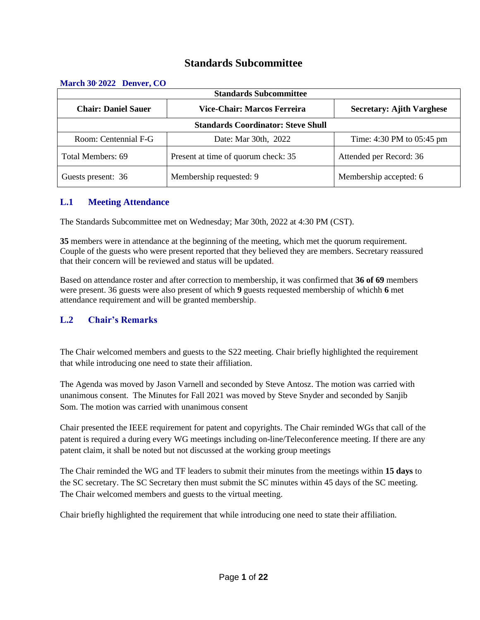# **Standards Subcommittee**

| <b>Standards Subcommittee</b>                             |                                     |                                  |  |  |
|-----------------------------------------------------------|-------------------------------------|----------------------------------|--|--|
| <b>Chair: Daniel Sauer</b><br>Vice-Chair: Marcos Ferreira |                                     | <b>Secretary: Ajith Varghese</b> |  |  |
| <b>Standards Coordinator: Steve Shull</b>                 |                                     |                                  |  |  |
| Room: Centennial F-G                                      | Date: Mar 30th, 2022                | Time: $4:30$ PM to $05:45$ pm    |  |  |
| Total Members: 69                                         | Present at time of quorum check: 35 | Attended per Record: 36          |  |  |
| Guests present: 36                                        | Membership requested: 9             | Membership accepted: 6           |  |  |

#### **March 30, 2022 Denver, CO**

# **L.1 Meeting Attendance**

The Standards Subcommittee met on Wednesday; Mar 30th, 2022 at 4:30 PM (CST).

**35** members were in attendance at the beginning of the meeting, which met the quorum requirement. Couple of the guests who were present reported that they believed they are members. Secretary reassured that their concern will be reviewed and status will be updated.

Based on attendance roster and after correction to membership, it was confirmed that **36 of 69** members were present. 36 guests were also present of which **9** guests requested membership of whichh **6** met attendance requirement and will be granted membership.

# **L.2 Chair's Remarks**

The Chair welcomed members and guests to the S22 meeting. Chair briefly highlighted the requirement that while introducing one need to state their affiliation.

The Agenda was moved by Jason Varnell and seconded by Steve Antosz. The motion was carried with unanimous consent. The Minutes for Fall 2021 was moved by Steve Snyder and seconded by Sanjib Som. The motion was carried with unanimous consent

Chair presented the IEEE requirement for patent and copyrights. The Chair reminded WGs that call of the patent is required a during every WG meetings including on-line/Teleconference meeting. If there are any patent claim, it shall be noted but not discussed at the working group meetings

The Chair reminded the WG and TF leaders to submit their minutes from the meetings within **15 days** to the SC secretary. The SC Secretary then must submit the SC minutes within 45 days of the SC meeting. The Chair welcomed members and guests to the virtual meeting.

Chair briefly highlighted the requirement that while introducing one need to state their affiliation.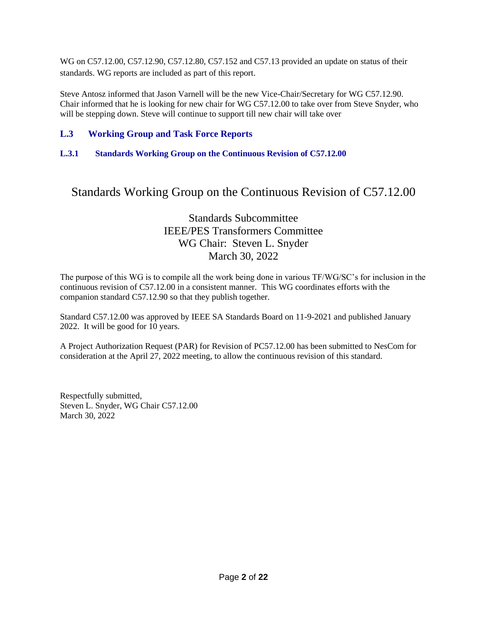WG on C57.12.00, C57.12.90, C57.12.80, C57.152 and C57.13 provided an update on status of their standards. WG reports are included as part of this report.

Steve Antosz informed that Jason Varnell will be the new Vice-Chair/Secretary for WG C57.12.90. Chair informed that he is looking for new chair for WG C57.12.00 to take over from Steve Snyder, who will be stepping down. Steve will continue to support till new chair will take over

# **L.3 Working Group and Task Force Reports**

# **L.3.1 Standards Working Group on the Continuous Revision of C57.12.00**

# Standards Working Group on the Continuous Revision of C57.12.00

# Standards Subcommittee IEEE/PES Transformers Committee WG Chair: Steven L. Snyder March 30, 2022

The purpose of this WG is to compile all the work being done in various TF/WG/SC's for inclusion in the continuous revision of C57.12.00 in a consistent manner. This WG coordinates efforts with the companion standard C57.12.90 so that they publish together.

Standard C57.12.00 was approved by IEEE SA Standards Board on 11-9-2021 and published January 2022. It will be good for 10 years.

A Project Authorization Request (PAR) for Revision of PC57.12.00 has been submitted to NesCom for consideration at the April 27, 2022 meeting, to allow the continuous revision of this standard.

Respectfully submitted, Steven L. Snyder, WG Chair C57.12.00 March 30, 2022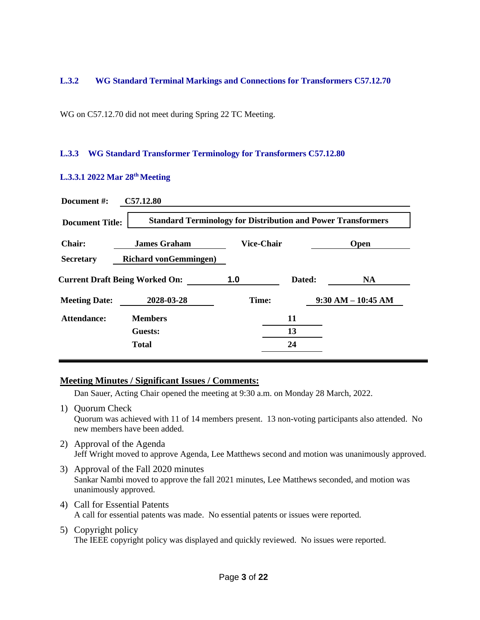#### **L.3.2 WG Standard Terminal Markings and Connections for Transformers C57.12.70**

WG on C57.12.70 did not meet during Spring 22 TC Meeting.

#### **L.3.3 WG Standard Transformer Terminology for Transformers C57.12.80**

#### **L.3.3.1 2022 Mar 28th Meeting**

| Document #:            | C57.12.80                                                           |                   |        |                      |
|------------------------|---------------------------------------------------------------------|-------------------|--------|----------------------|
| <b>Document Title:</b> | <b>Standard Terminology for Distribution and Power Transformers</b> |                   |        |                      |
| <b>Chair:</b>          | <b>James Graham</b>                                                 | <b>Vice-Chair</b> |        | <b>Open</b>          |
| <b>Secretary</b>       | <b>Richard von Gemmingen</b> )                                      |                   |        |                      |
|                        | <b>Current Draft Being Worked On:</b>                               | 1.0               | Dated: | <b>NA</b>            |
| <b>Meeting Date:</b>   | 2028-03-28                                                          | Time:             |        | $9:30 AM - 10:45 AM$ |
| Attendance:            | <b>Members</b>                                                      |                   | 11     |                      |
|                        | Guests:                                                             |                   | 13     |                      |
|                        | <b>Total</b>                                                        |                   | 24     |                      |

#### **Meeting Minutes / Significant Issues / Comments:**

Dan Sauer, Acting Chair opened the meeting at 9:30 a.m. on Monday 28 March, 2022.

1) Quorum Check Quorum was achieved with 11 of 14 members present. 13 non-voting participants also attended. No new members have been added.

# 2) Approval of the Agenda Jeff Wright moved to approve Agenda, Lee Matthews second and motion was unanimously approved.

- 3) Approval of the Fall 2020 minutes Sankar Nambi moved to approve the fall 2021 minutes, Lee Matthews seconded, and motion was unanimously approved.
- 4) Call for Essential Patents A call for essential patents was made. No essential patents or issues were reported.
- 5) Copyright policy The IEEE copyright policy was displayed and quickly reviewed. No issues were reported.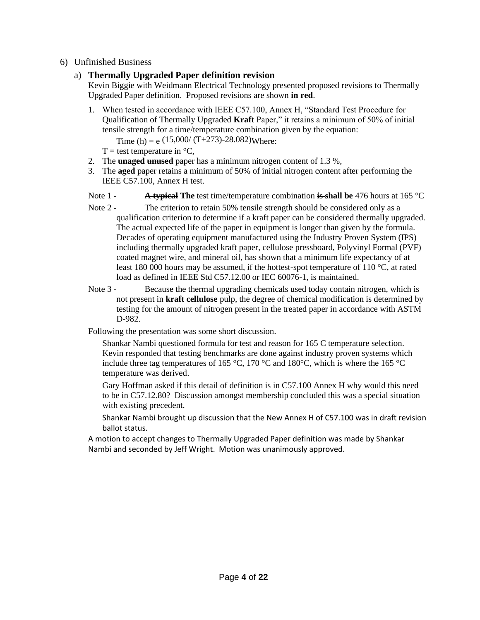## 6) Unfinished Business

# a) **Thermally Upgraded Paper definition revision**

Kevin Biggie with Weidmann Electrical Technology presented proposed revisions to Thermally Upgraded Paper definition. Proposed revisions are shown **in red**.

- 1. When tested in accordance with IEEE C57.100, Annex H, "Standard Test Procedure for Qualification of Thermally Upgraded **Kraft** Paper," it retains a minimum of 50% of initial tensile strength for a time/temperature combination given by the equation: Time (h) = e  $(15,000/(T+273)-28.082)$ Where:
	-
	- $T =$  test temperature in  $\mathrm{C}$ .
- 2. The **unaged unused** paper has a minimum nitrogen content of 1.3 %,
- 3. The **aged** paper retains a minimum of 50% of initial nitrogen content after performing the IEEE C57.100, Annex H test.
- Note 1 **A typical The** test time/temperature combination **is shall be** 476 hours at 165 °C
- Note 2 The criterion to retain 50% tensile strength should be considered only as a qualification criterion to determine if a kraft paper can be considered thermally upgraded. The actual expected life of the paper in equipment is longer than given by the formula. Decades of operating equipment manufactured using the Industry Proven System (IPS) including thermally upgraded kraft paper, cellulose pressboard, Polyvinyl Formal (PVF) coated magnet wire, and mineral oil, has shown that a minimum life expectancy of at least 180 000 hours may be assumed, if the hottest-spot temperature of 110 °C, at rated load as defined in IEEE Std C57.12.00 or IEC 60076-1, is maintained.
- Note 3 Because the thermal upgrading chemicals used today contain nitrogen, which is not present in **kraft cellulose** pulp, the degree of chemical modification is determined by testing for the amount of nitrogen present in the treated paper in accordance with ASTM D-982.

Following the presentation was some short discussion.

Shankar Nambi questioned formula for test and reason for 165 C temperature selection. Kevin responded that testing benchmarks are done against industry proven systems which include three tag temperatures of 165 °C, 170 °C and 180 °C, which is where the 165 °C temperature was derived.

Gary Hoffman asked if this detail of definition is in C57.100 Annex H why would this need to be in C57.12.80? Discussion amongst membership concluded this was a special situation with existing precedent.

Shankar Nambi brought up discussion that the New Annex H of C57.100 was in draft revision ballot status.

A motion to accept changes to Thermally Upgraded Paper definition was made by Shankar Nambi and seconded by Jeff Wright. Motion was unanimously approved.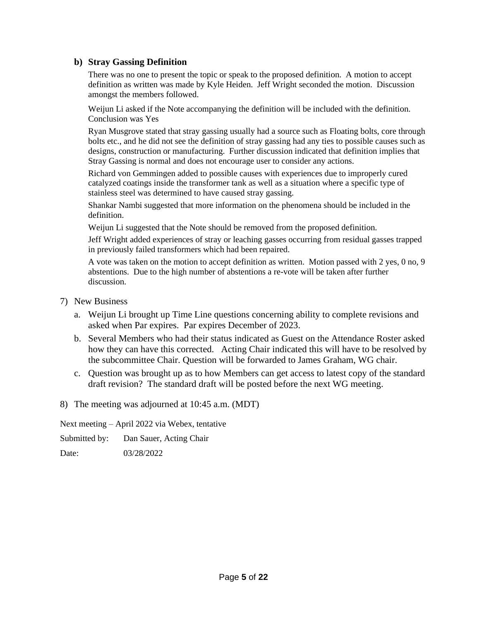## **b) Stray Gassing Definition**

There was no one to present the topic or speak to the proposed definition. A motion to accept definition as written was made by Kyle Heiden. Jeff Wright seconded the motion. Discussion amongst the members followed.

Weijun Li asked if the Note accompanying the definition will be included with the definition. Conclusion was Yes

Ryan Musgrove stated that stray gassing usually had a source such as Floating bolts, core through bolts etc., and he did not see the definition of stray gassing had any ties to possible causes such as designs, construction or manufacturing. Further discussion indicated that definition implies that Stray Gassing is normal and does not encourage user to consider any actions.

Richard von Gemmingen added to possible causes with experiences due to improperly cured catalyzed coatings inside the transformer tank as well as a situation where a specific type of stainless steel was determined to have caused stray gassing.

Shankar Nambi suggested that more information on the phenomena should be included in the definition.

Weijun Li suggested that the Note should be removed from the proposed definition.

Jeff Wright added experiences of stray or leaching gasses occurring from residual gasses trapped in previously failed transformers which had been repaired.

A vote was taken on the motion to accept definition as written. Motion passed with 2 yes, 0 no, 9 abstentions. Due to the high number of abstentions a re-vote will be taken after further discussion.

- 7) New Business
	- a. Weijun Li brought up Time Line questions concerning ability to complete revisions and asked when Par expires. Par expires December of 2023.
	- b. Several Members who had their status indicated as Guest on the Attendance Roster asked how they can have this corrected. Acting Chair indicated this will have to be resolved by the subcommittee Chair. Question will be forwarded to James Graham, WG chair.
	- c. Question was brought up as to how Members can get access to latest copy of the standard draft revision? The standard draft will be posted before the next WG meeting.
- 8) The meeting was adjourned at 10:45 a.m. (MDT)

Next meeting – April 2022 via Webex, tentative

Submitted by: Dan Sauer, Acting Chair

Date: 03/28/2022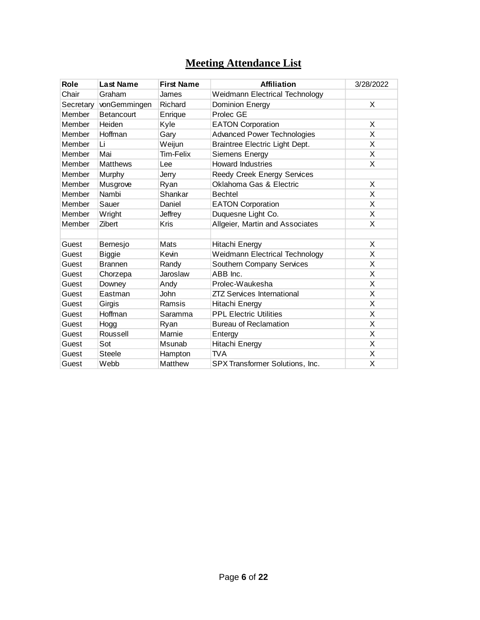# **Meeting Attendance List**

| Role      | <b>Last Name</b> | <b>First Name</b> | <b>Affiliation</b>                    | 3/28/2022 |
|-----------|------------------|-------------------|---------------------------------------|-----------|
| Chair     | Graham           | James             | <b>Weidmann Electrical Technology</b> |           |
| Secretary | vonGemmingen     | Richard           | Dominion Energy                       | X         |
| Member    | Betancourt       | Enrique           | Prolec GE                             |           |
| Member    | Heiden           | Kyle              | <b>EATON Corporation</b>              | X         |
| Member    | Hoffman          | Gary              | <b>Advanced Power Technologies</b>    | X         |
| Member    | Li               | Weijun            | Braintree Electric Light Dept.        | X         |
| Member    | Mai              | Tim-Felix         | Siemens Energy                        | X         |
| Member    | <b>Matthews</b>  | Lee               | <b>Howard Industries</b>              | X         |
| Member    | Murphy           | Jerry             | Reedy Creek Energy Services           |           |
| Member    | Musgrove         | Ryan              | Oklahoma Gas & Electric               | Χ         |
| Member    | Nambi            | Shankar           | <b>Bechtel</b>                        | X         |
| Member    | Sauer            | Daniel            | <b>EATON Corporation</b>              | X         |
| Member    | Wright           | Jeffrey           | Duquesne Light Co.                    | X         |
| Member    | Zibert           | Kris              | Allgeier, Martin and Associates       | X         |
|           |                  |                   |                                       |           |
| Guest     | Bernesjo         | Mats              | Hitachi Energy                        | X         |
| Guest     | <b>Biggie</b>    | Kevin             | <b>Weidmann Electrical Technology</b> | X         |
| Guest     | <b>Brannen</b>   | Randy             | Southern Company Services             | X         |
| Guest     | Chorzepa         | Jaroslaw          | ABB Inc.                              | X         |
| Guest     | Downey           | Andy              | Prolec-Waukesha                       | X         |
| Guest     | Eastman          | <b>John</b>       | <b>ZTZ Services International</b>     | X         |
| Guest     | Girgis           | Ramsis            | Hitachi Energy                        | X         |
| Guest     | Hoffman          | Saramma           | <b>PPL Electric Utilities</b>         | X         |
| Guest     | Hogg             | Ryan              | <b>Bureau of Reclamation</b>          | X         |
| Guest     | Roussell         | Marnie            | Entergy                               | X         |
| Guest     | Sot              | Msunab            | Hitachi Energy                        | X         |
| Guest     | Steele           | Hampton           | TVA                                   | X         |
| Guest     | Webb             | Matthew           | SPX Transformer Solutions, Inc.       | X         |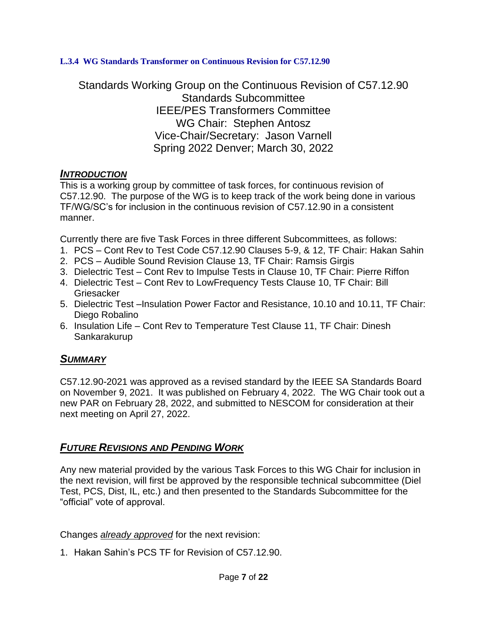# **L.3.4 WG Standards Transformer on Continuous Revision for C57.12.90**

Standards Working Group on the Continuous Revision of C57.12.90 Standards Subcommittee IEEE/PES Transformers Committee WG Chair: Stephen Antosz Vice-Chair/Secretary: Jason Varnell Spring 2022 Denver; March 30, 2022

# *INTRODUCTION*

This is a working group by committee of task forces, for continuous revision of C57.12.90. The purpose of the WG is to keep track of the work being done in various TF/WG/SC's for inclusion in the continuous revision of C57.12.90 in a consistent manner.

Currently there are five Task Forces in three different Subcommittees, as follows:

- 1. PCS Cont Rev to Test Code C57.12.90 Clauses 5-9, & 12, TF Chair: Hakan Sahin
- 2. PCS Audible Sound Revision Clause 13, TF Chair: Ramsis Girgis
- 3. Dielectric Test Cont Rev to Impulse Tests in Clause 10, TF Chair: Pierre Riffon
- 4. Dielectric Test Cont Rev to LowFrequency Tests Clause 10, TF Chair: Bill **Griesacker**
- 5. Dielectric Test –Insulation Power Factor and Resistance, 10.10 and 10.11, TF Chair: Diego Robalino
- 6. Insulation Life Cont Rev to Temperature Test Clause 11, TF Chair: Dinesh Sankarakurup

# *SUMMARY*

C57.12.90-2021 was approved as a revised standard by the IEEE SA Standards Board on November 9, 2021. It was published on February 4, 2022. The WG Chair took out a new PAR on February 28, 2022, and submitted to NESCOM for consideration at their next meeting on April 27, 2022.

# *FUTURE REVISIONS AND PENDING WORK*

Any new material provided by the various Task Forces to this WG Chair for inclusion in the next revision, will first be approved by the responsible technical subcommittee (Diel Test, PCS, Dist, IL, etc.) and then presented to the Standards Subcommittee for the "official" vote of approval.

Changes *already approved* for the next revision:

1. Hakan Sahin's PCS TF for Revision of C57.12.90.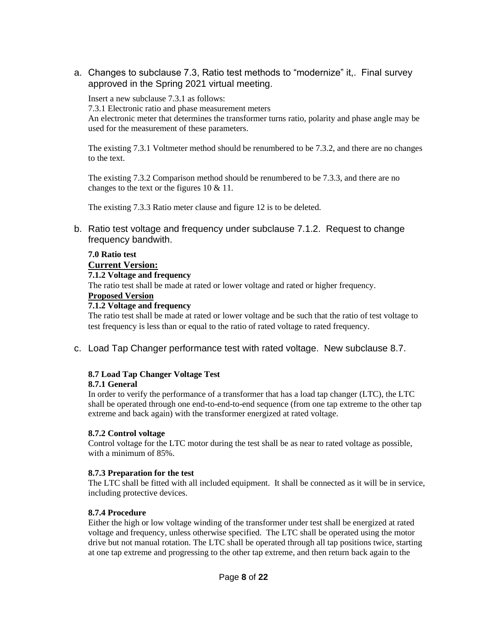a. Changes to subclause 7.3, Ratio test methods to "modernize" it,. Final survey approved in the Spring 2021 virtual meeting.

Insert a new subclause 7.3.1 as follows:

7.3.1 Electronic ratio and phase measurement meters

An electronic meter that determines the transformer turns ratio, polarity and phase angle may be used for the measurement of these parameters.

The existing 7.3.1 Voltmeter method should be renumbered to be 7.3.2, and there are no changes to the text.

The existing 7.3.2 Comparison method should be renumbered to be 7.3.3, and there are no changes to the text or the figures 10 & 11.

The existing 7.3.3 Ratio meter clause and figure 12 is to be deleted.

b. Ratio test voltage and frequency under subclause 7.1.2. Request to change frequency bandwith.

#### **7.0 Ratio test**

# **Current Version:**

## **7.1.2 Voltage and frequency**

The ratio test shall be made at rated or lower voltage and rated or higher frequency.

#### **Proposed Version**

#### **7.1.2 Voltage and frequency**

The ratio test shall be made at rated or lower voltage and be such that the ratio of test voltage to test frequency is less than or equal to the ratio of rated voltage to rated frequency.

c. Load Tap Changer performance test with rated voltage. New subclause 8.7.

# **8.7 Load Tap Changer Voltage Test**

#### **8.7.1 General**

In order to verify the performance of a transformer that has a load tap changer (LTC), the LTC shall be operated through one end-to-end-to-end sequence (from one tap extreme to the other tap extreme and back again) with the transformer energized at rated voltage.

#### **8.7.2 Control voltage**

Control voltage for the LTC motor during the test shall be as near to rated voltage as possible, with a minimum of 85%.

#### **8.7.3 Preparation for the test**

The LTC shall be fitted with all included equipment. It shall be connected as it will be in service, including protective devices.

#### **8.7.4 Procedure**

Either the high or low voltage winding of the transformer under test shall be energized at rated voltage and frequency, unless otherwise specified. The LTC shall be operated using the motor drive but not manual rotation. The LTC shall be operated through all tap positions twice, starting at one tap extreme and progressing to the other tap extreme, and then return back again to the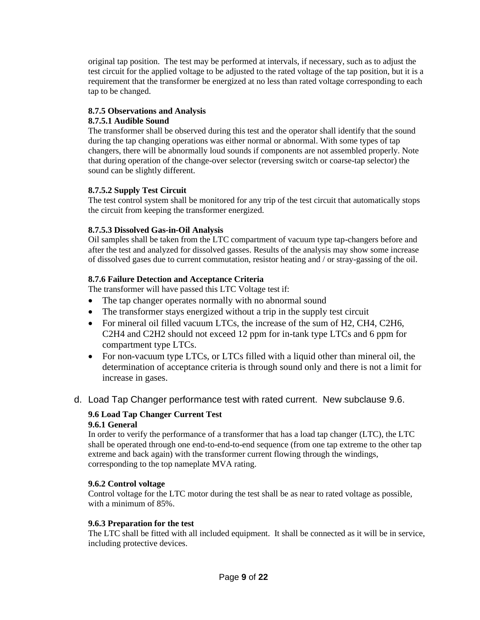original tap position. The test may be performed at intervals, if necessary, such as to adjust the test circuit for the applied voltage to be adjusted to the rated voltage of the tap position, but it is a requirement that the transformer be energized at no less than rated voltage corresponding to each tap to be changed.

#### **8.7.5 Observations and Analysis**

#### **8.7.5.1 Audible Sound**

The transformer shall be observed during this test and the operator shall identify that the sound during the tap changing operations was either normal or abnormal. With some types of tap changers, there will be abnormally loud sounds if components are not assembled properly. Note that during operation of the change-over selector (reversing switch or coarse-tap selector) the sound can be slightly different.

# **8.7.5.2 Supply Test Circuit**

The test control system shall be monitored for any trip of the test circuit that automatically stops the circuit from keeping the transformer energized.

## **8.7.5.3 Dissolved Gas-in-Oil Analysis**

Oil samples shall be taken from the LTC compartment of vacuum type tap-changers before and after the test and analyzed for dissolved gasses. Results of the analysis may show some increase of dissolved gases due to current commutation, resistor heating and / or stray-gassing of the oil.

## **8.7.6 Failure Detection and Acceptance Criteria**

The transformer will have passed this LTC Voltage test if:

- The tap changer operates normally with no abnormal sound
- The transformer stays energized without a trip in the supply test circuit
- For mineral oil filled vacuum LTCs, the increase of the sum of H2, CH4, C2H6, C2H4 and C2H2 should not exceed 12 ppm for in-tank type LTCs and 6 ppm for compartment type LTCs.
- For non-vacuum type LTCs, or LTCs filled with a liquid other than mineral oil, the determination of acceptance criteria is through sound only and there is not a limit for increase in gases.
- d. Load Tap Changer performance test with rated current. New subclause 9.6.

# **9.6 Load Tap Changer Current Test**

#### **9.6.1 General**

In order to verify the performance of a transformer that has a load tap changer (LTC), the LTC shall be operated through one end-to-end-to-end sequence (from one tap extreme to the other tap extreme and back again) with the transformer current flowing through the windings, corresponding to the top nameplate MVA rating.

#### **9.6.2 Control voltage**

Control voltage for the LTC motor during the test shall be as near to rated voltage as possible, with a minimum of 85%.

# **9.6.3 Preparation for the test**

The LTC shall be fitted with all included equipment. It shall be connected as it will be in service, including protective devices.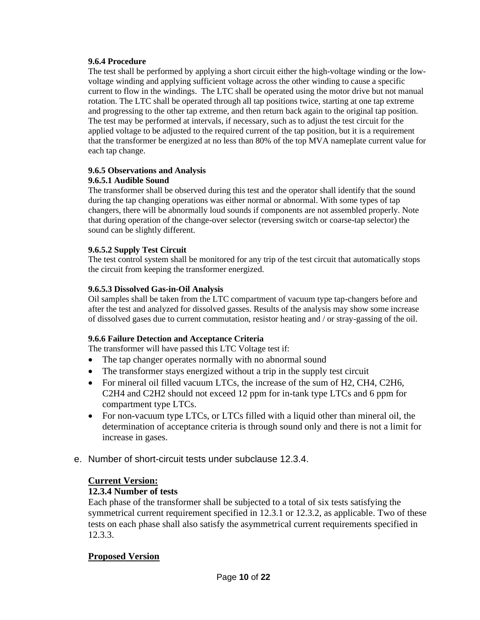#### **9.6.4 Procedure**

The test shall be performed by applying a short circuit either the high-voltage winding or the lowvoltage winding and applying sufficient voltage across the other winding to cause a specific current to flow in the windings. The LTC shall be operated using the motor drive but not manual rotation. The LTC shall be operated through all tap positions twice, starting at one tap extreme and progressing to the other tap extreme, and then return back again to the original tap position. The test may be performed at intervals, if necessary, such as to adjust the test circuit for the applied voltage to be adjusted to the required current of the tap position, but it is a requirement that the transformer be energized at no less than 80% of the top MVA nameplate current value for each tap change.

## **9.6.5 Observations and Analysis**

#### **9.6.5.1 Audible Sound**

The transformer shall be observed during this test and the operator shall identify that the sound during the tap changing operations was either normal or abnormal. With some types of tap changers, there will be abnormally loud sounds if components are not assembled properly. Note that during operation of the change-over selector (reversing switch or coarse-tap selector) the sound can be slightly different.

## **9.6.5.2 Supply Test Circuit**

The test control system shall be monitored for any trip of the test circuit that automatically stops the circuit from keeping the transformer energized.

#### **9.6.5.3 Dissolved Gas-in-Oil Analysis**

Oil samples shall be taken from the LTC compartment of vacuum type tap-changers before and after the test and analyzed for dissolved gasses. Results of the analysis may show some increase of dissolved gases due to current commutation, resistor heating and / or stray-gassing of the oil.

#### **9.6.6 Failure Detection and Acceptance Criteria**

The transformer will have passed this LTC Voltage test if:

- The tap changer operates normally with no abnormal sound
- The transformer stays energized without a trip in the supply test circuit
- For mineral oil filled vacuum LTCs, the increase of the sum of H2, CH4, C2H6, C2H4 and C2H2 should not exceed 12 ppm for in-tank type LTCs and 6 ppm for compartment type LTCs.
- For non-vacuum type LTCs, or LTCs filled with a liquid other than mineral oil, the determination of acceptance criteria is through sound only and there is not a limit for increase in gases.
- e. Number of short-circuit tests under subclause 12.3.4.

# **Current Version:**

# **12.3.4 Number of tests**

Each phase of the transformer shall be subjected to a total of six tests satisfying the symmetrical current requirement specified in 12.3.1 or 12.3.2, as applicable. Two of these tests on each phase shall also satisfy the asymmetrical current requirements specified in 12.3.3.

# **Proposed Version**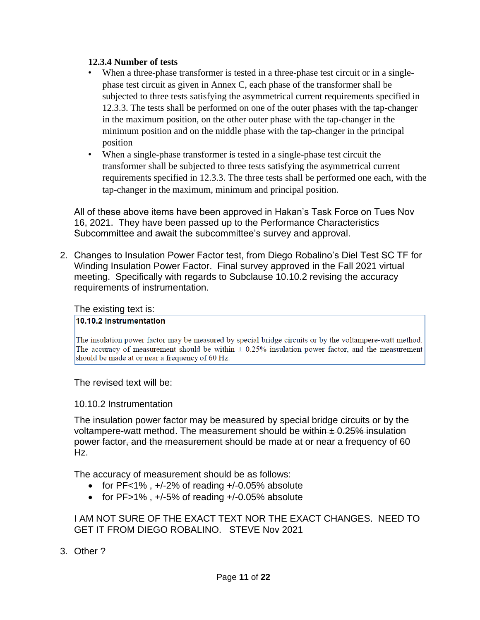## **12.3.4 Number of tests**

- When a three-phase transformer is tested in a three-phase test circuit or in a singlephase test circuit as given in Annex C, each phase of the transformer shall be subjected to three tests satisfying the asymmetrical current requirements specified in 12.3.3. The tests shall be performed on one of the outer phases with the tap-changer in the maximum position, on the other outer phase with the tap-changer in the minimum position and on the middle phase with the tap-changer in the principal position
- When a single-phase transformer is tested in a single-phase test circuit the transformer shall be subjected to three tests satisfying the asymmetrical current requirements specified in 12.3.3. The three tests shall be performed one each, with the tap-changer in the maximum, minimum and principal position.

All of these above items have been approved in Hakan's Task Force on Tues Nov 16, 2021. They have been passed up to the Performance Characteristics Subcommittee and await the subcommittee's survey and approval.

2. Changes to Insulation Power Factor test, from Diego Robalino's Diel Test SC TF for Winding Insulation Power Factor. Final survey approved in the Fall 2021 virtual meeting. Specifically with regards to Subclause 10.10.2 revising the accuracy requirements of instrumentation.

The existing text is:

#### 10.10.2 Instrumentation

The insulation power factor may be measured by special bridge circuits or by the voltampere-watt method. The accuracy of measurement should be within  $\pm$  0.25% insulation power factor, and the measurement should be made at or near a frequency of 60 Hz.

The revised text will be:

# 10.10.2 Instrumentation

The insulation power factor may be measured by special bridge circuits or by the voltampere-watt method. The measurement should be within  $\pm$  0.25% insulation power factor, and the measurement should be made at or near a frequency of 60 Hz.

The accuracy of measurement should be as follows:

- for  $PF<1\%$ ,  $+/-2\%$  of reading  $+/-0.05\%$  absolute
- for  $PF>1\%$ ,  $+/-5\%$  of reading  $+/-0.05\%$  absolute

# I AM NOT SURE OF THE EXACT TEXT NOR THE EXACT CHANGES. NEED TO GET IT FROM DIEGO ROBALINO. STEVE Nov 2021

3. Other ?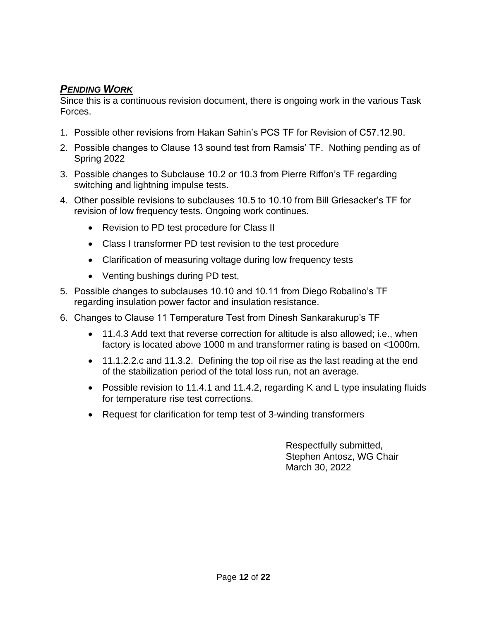# *PENDING WORK*

Since this is a continuous revision document, there is ongoing work in the various Task Forces.

- 1. Possible other revisions from Hakan Sahin's PCS TF for Revision of C57.12.90.
- 2. Possible changes to Clause 13 sound test from Ramsis' TF. Nothing pending as of Spring 2022
- 3. Possible changes to Subclause 10.2 or 10.3 from Pierre Riffon's TF regarding switching and lightning impulse tests.
- 4. Other possible revisions to subclauses 10.5 to 10.10 from Bill Griesacker's TF for revision of low frequency tests. Ongoing work continues.
	- Revision to PD test procedure for Class II
	- Class I transformer PD test revision to the test procedure
	- Clarification of measuring voltage during low frequency tests
	- Venting bushings during PD test,
- 5. Possible changes to subclauses 10.10 and 10.11 from Diego Robalino's TF regarding insulation power factor and insulation resistance.
- 6. Changes to Clause 11 Temperature Test from Dinesh Sankarakurup's TF
	- 11.4.3 Add text that reverse correction for altitude is also allowed; i.e., when factory is located above 1000 m and transformer rating is based on <1000m.
	- 11.1.2.2.c and 11.3.2. Defining the top oil rise as the last reading at the end of the stabilization period of the total loss run, not an average.
	- Possible revision to 11.4.1 and 11.4.2, regarding K and L type insulating fluids for temperature rise test corrections.
	- Request for clarification for temp test of 3-winding transformers

Respectfully submitted, Stephen Antosz, WG Chair March 30, 2022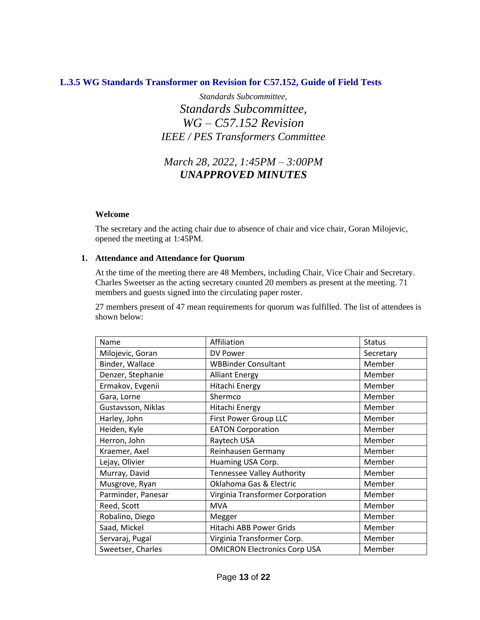# **L.3.5 WG Standards Transformer on Revision for C57.152, Guide of Field Tests**

*Standards Subcommittee, Standards Subcommittee, WG – C57.152 Revision IEEE / PES Transformers Committee*

# *March 28, 2022, 1:45PM – 3:00PM UNAPPROVED MINUTES*

#### **Welcome**

The secretary and the acting chair due to absence of chair and vice chair, Goran Milojevic, opened the meeting at 1:45PM.

#### **1. Attendance and Attendance for Quorum**

At the time of the meeting there are 48 Members, including Chair, Vice Chair and Secretary. Charles Sweetser as the acting secretary counted 20 members as present at the meeting. 71 members and guests signed into the circulating paper roster.

27 members present of 47 mean requirements for quorum was fulfilled. The list of attendees is shown below:

| Name               | Affiliation                         | <b>Status</b> |
|--------------------|-------------------------------------|---------------|
| Milojevic, Goran   | DV Power                            | Secretary     |
| Binder, Wallace    | <b>WBBinder Consultant</b>          | Member        |
| Denzer, Stephanie  | <b>Alliant Energy</b>               | Member        |
| Ermakov, Evgenii   | Hitachi Energy                      | Member        |
| Gara, Lorne        | Shermco                             | Member        |
| Gustavsson, Niklas | Hitachi Energy                      | Member        |
| Harley, John       | First Power Group LLC               | Member        |
| Heiden, Kyle       | <b>EATON Corporation</b>            | Member        |
| Herron, John       | Raytech USA                         | Member        |
| Kraemer, Axel      | Reinhausen Germany                  | Member        |
| Lejay, Olivier     | Huaming USA Corp.                   | Member        |
| Murray, David      | <b>Tennessee Valley Authority</b>   | Member        |
| Musgrove, Ryan     | Oklahoma Gas & Electric             | Member        |
| Parminder, Panesar | Virginia Transformer Corporation    | Member        |
| Reed, Scott        | <b>MVA</b>                          | Member        |
| Robalino, Diego    | Megger                              | Member        |
| Saad, Mickel       | Hitachi ABB Power Grids             | Member        |
| Servaraj, Pugal    | Virginia Transformer Corp.          | Member        |
| Sweetser, Charles  | <b>OMICRON Electronics Corp USA</b> | Member        |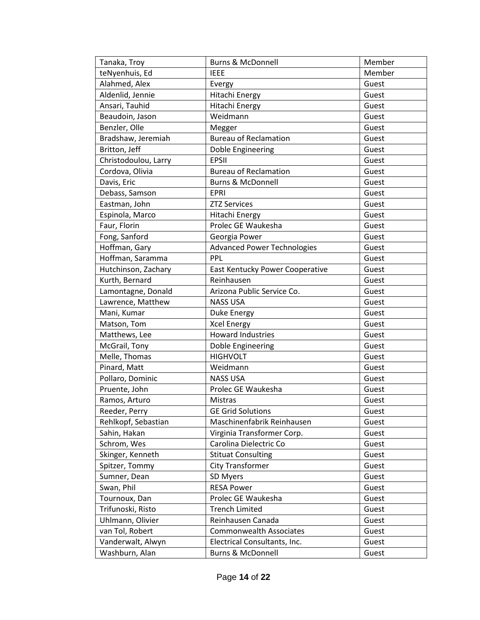| Tanaka, Troy         | <b>Burns &amp; McDonnell</b>       | Member |
|----------------------|------------------------------------|--------|
| teNyenhuis, Ed       | <b>IEEE</b>                        | Member |
| Alahmed, Alex        | Evergy                             | Guest  |
| Aldenlid, Jennie     | Hitachi Energy                     | Guest  |
| Ansari, Tauhid       | Hitachi Energy                     | Guest  |
| Beaudoin, Jason      | Weidmann                           | Guest  |
| Benzler, Olle        | Megger                             | Guest  |
| Bradshaw, Jeremiah   | <b>Bureau of Reclamation</b>       | Guest  |
| Britton, Jeff        | Doble Engineering                  | Guest  |
| Christodoulou, Larry | <b>EPSII</b>                       | Guest  |
| Cordova, Olivia      | <b>Bureau of Reclamation</b>       | Guest  |
| Davis, Eric          | <b>Burns &amp; McDonnell</b>       | Guest  |
| Debass, Samson       | <b>EPRI</b>                        | Guest  |
| Eastman, John        | <b>ZTZ Services</b>                | Guest  |
| Espinola, Marco      | Hitachi Energy                     | Guest  |
| Faur, Florin         | Prolec GE Waukesha                 | Guest  |
| Fong, Sanford        | Georgia Power                      | Guest  |
| Hoffman, Gary        | <b>Advanced Power Technologies</b> | Guest  |
| Hoffman, Saramma     | PPL                                | Guest  |
| Hutchinson, Zachary  | East Kentucky Power Cooperative    | Guest  |
| Kurth, Bernard       | Reinhausen                         | Guest  |
| Lamontagne, Donald   | Arizona Public Service Co.         | Guest  |
| Lawrence, Matthew    | <b>NASS USA</b>                    | Guest  |
| Mani, Kumar          | <b>Duke Energy</b>                 | Guest  |
| Matson, Tom          | <b>Xcel Energy</b>                 | Guest  |
| Matthews, Lee        | <b>Howard Industries</b>           | Guest  |
| McGrail, Tony        | Doble Engineering                  | Guest  |
| Melle, Thomas        | <b>HIGHVOLT</b>                    | Guest  |
| Pinard, Matt         | Weidmann                           | Guest  |
| Pollaro, Dominic     | <b>NASS USA</b>                    | Guest  |
| Pruente, John        | Prolec GE Waukesha                 | Guest  |
| Ramos, Arturo        | Mistras                            | Guest  |
| Reeder, Perry        | <b>GE Grid Solutions</b>           | Guest  |
| Rehlkopf, Sebastian  | Maschinenfabrik Reinhausen         | Guest  |
| Sahin, Hakan         | Virginia Transformer Corp.         | Guest  |
| Schrom, Wes          | Carolina Dielectric Co             | Guest  |
| Skinger, Kenneth     | <b>Stituat Consulting</b>          | Guest  |
| Spitzer, Tommy       | <b>City Transformer</b>            | Guest  |
| Sumner, Dean         | SD Myers                           | Guest  |
| Swan, Phil           | <b>RESA Power</b>                  | Guest  |
| Tournoux, Dan        | Prolec GE Waukesha                 | Guest  |
| Trifunoski, Risto    | <b>Trench Limited</b>              | Guest  |
| Uhlmann, Olivier     | Reinhausen Canada                  | Guest  |
| van Tol, Robert      | <b>Commonwealth Associates</b>     | Guest  |
| Vanderwalt, Alwyn    | Electrical Consultants, Inc.       | Guest  |
| Washburn, Alan       | <b>Burns &amp; McDonnell</b>       | Guest  |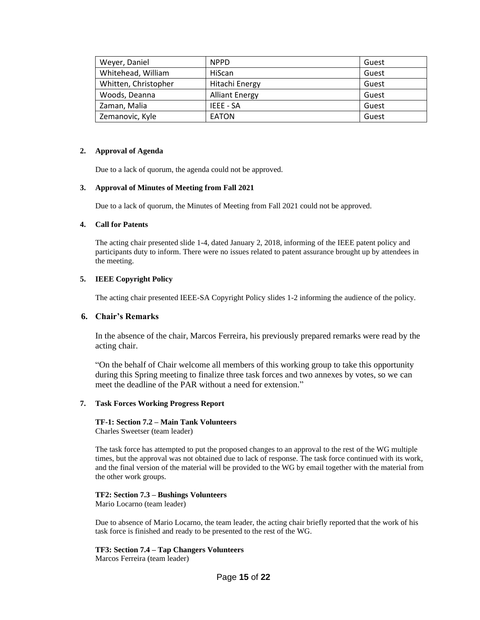| Weyer, Daniel        | <b>NPPD</b>           | Guest |
|----------------------|-----------------------|-------|
| Whitehead, William   | HiScan                | Guest |
| Whitten, Christopher | Hitachi Energy        | Guest |
| Woods, Deanna        | <b>Alliant Energy</b> | Guest |
| Zaman, Malia         | IEEE - SA             | Guest |
| Zemanovic, Kyle      | <b>EATON</b>          | Guest |

#### **2. Approval of Agenda**

Due to a lack of quorum, the agenda could not be approved.

#### **3. Approval of Minutes of Meeting from Fall 2021**

Due to a lack of quorum, the Minutes of Meeting from Fall 2021 could not be approved.

#### **4. Call for Patents**

The acting chair presented slide 1-4, dated January 2, 2018, informing of the IEEE patent policy and participants duty to inform. There were no issues related to patent assurance brought up by attendees in the meeting.

#### **5. IEEE Copyright Policy**

The acting chair presented IEEE-SA Copyright Policy slides 1-2 informing the audience of the policy.

#### **6. Chair's Remarks**

In the absence of the chair, Marcos Ferreira, his previously prepared remarks were read by the acting chair.

"On the behalf of Chair welcome all members of this working group to take this opportunity during this Spring meeting to finalize three task forces and two annexes by votes, so we can meet the deadline of the PAR without a need for extension."

#### **7. Task Forces Working Progress Report**

#### **TF-1: Section 7.2 – Main Tank Volunteers**

Charles Sweetser (team leader)

The task force has attempted to put the proposed changes to an approval to the rest of the WG multiple times, but the approval was not obtained due to lack of response. The task force continued with its work, and the final version of the material will be provided to the WG by email together with the material from the other work groups.

#### **TF2: Section 7.3 – Bushings Volunteers**

Mario Locarno (team leader)

Due to absence of Mario Locarno, the team leader, the acting chair briefly reported that the work of his task force is finished and ready to be presented to the rest of the WG.

#### **TF3: Section 7.4 – Tap Changers Volunteers**

Marcos Ferreira (team leader)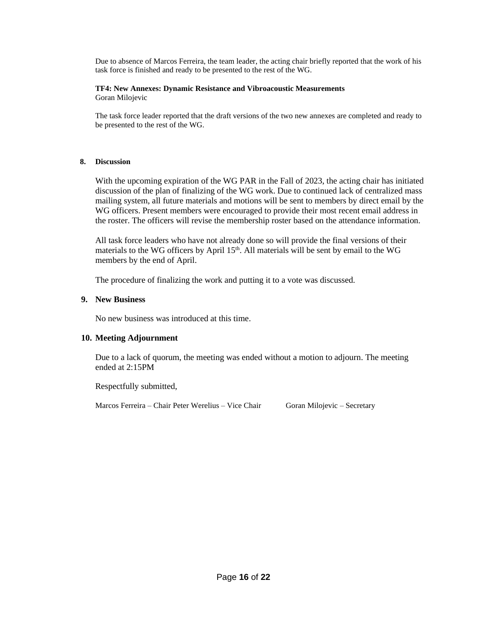Due to absence of Marcos Ferreira, the team leader, the acting chair briefly reported that the work of his task force is finished and ready to be presented to the rest of the WG.

#### **TF4: New Annexes: Dynamic Resistance and Vibroacoustic Measurements** Goran Milojevic

The task force leader reported that the draft versions of the two new annexes are completed and ready to be presented to the rest of the WG.

#### **8. Discussion**

With the upcoming expiration of the WG PAR in the Fall of 2023, the acting chair has initiated discussion of the plan of finalizing of the WG work. Due to continued lack of centralized mass mailing system, all future materials and motions will be sent to members by direct email by the WG officers. Present members were encouraged to provide their most recent email address in the roster. The officers will revise the membership roster based on the attendance information.

All task force leaders who have not already done so will provide the final versions of their materials to the WG officers by April  $15<sup>th</sup>$ . All materials will be sent by email to the WG members by the end of April.

The procedure of finalizing the work and putting it to a vote was discussed.

#### **9. New Business**

No new business was introduced at this time.

#### **10. Meeting Adjournment**

Due to a lack of quorum, the meeting was ended without a motion to adjourn. The meeting ended at 2:15PM

Respectfully submitted,

Marcos Ferreira – Chair Peter Werelius – Vice Chair Goran Milojevic – Secretary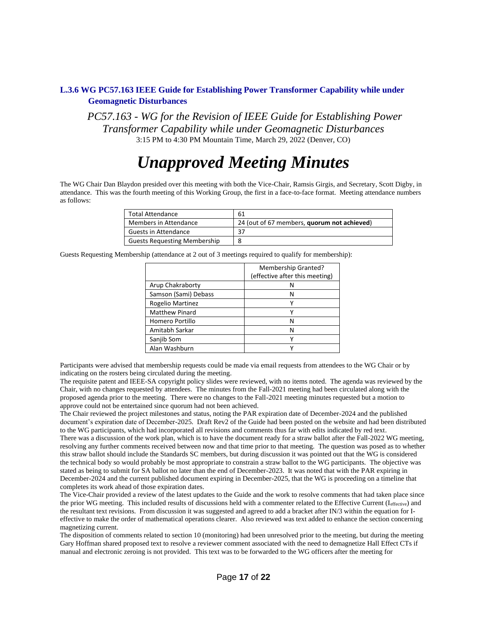#### **L.3.6 WG PC57.163 IEEE Guide for Establishing Power Transformer Capability while under Geomagnetic Disturbances**

*PC57.163 - WG for the Revision of IEEE Guide for Establishing Power Transformer Capability while under Geomagnetic Disturbances* 3:15 PM to 4:30 PM Mountain Time, March 29, 2022 (Denver, CO)

# *Unapproved Meeting Minutes*

The WG Chair Dan Blaydon presided over this meeting with both the Vice-Chair, Ramsis Girgis, and Secretary, Scott Digby, in attendance. This was the fourth meeting of this Working Group, the first in a face-to-face format. Meeting attendance numbers as follows:

| <b>Total Attendance</b>             | 61                                          |
|-------------------------------------|---------------------------------------------|
| Members in Attendance               | 24 (out of 67 members, quorum not achieved) |
| Guests in Attendance                | 37                                          |
| <b>Guests Requesting Membership</b> | 8                                           |

Guests Requesting Membership (attendance at 2 out of 3 meetings required to qualify for membership):

|                       | Membership Granted?<br>(effective after this meeting) |
|-----------------------|-------------------------------------------------------|
| Arup Chakraborty      | N                                                     |
| Samson (Sami) Debass  | N                                                     |
| Rogelio Martinez      |                                                       |
| <b>Matthew Pinard</b> | ٧                                                     |
| Homero Portillo       | N                                                     |
| Amitabh Sarkar        | N                                                     |
| Sanjib Som            |                                                       |
| Alan Washburn         | ν                                                     |

Participants were advised that membership requests could be made via email requests from attendees to the WG Chair or by indicating on the rosters being circulated during the meeting.

The requisite patent and IEEE-SA copyright policy slides were reviewed, with no items noted. The agenda was reviewed by the Chair, with no changes requested by attendees. The minutes from the Fall-2021 meeting had been circulated along with the proposed agenda prior to the meeting. There were no changes to the Fall-2021 meeting minutes requested but a motion to approve could not be entertained since quorum had not been achieved.

The Chair reviewed the project milestones and status, noting the PAR expiration date of December-2024 and the published document's expiration date of December-2025. Draft Rev2 of the Guide had been posted on the website and had been distributed to the WG participants, which had incorporated all revisions and comments thus far with edits indicated by red text. There was a discussion of the work plan, which is to have the document ready for a straw ballot after the Fall-2022 WG meeting, resolving any further comments received between now and that time prior to that meeting. The question was posed as to whether this straw ballot should include the Standards SC members, but during discussion it was pointed out that the WG is considered the technical body so would probably be most appropriate to constrain a straw ballot to the WG participants. The objective was stated as being to submit for SA ballot no later than the end of December-2023. It was noted that with the PAR expiring in December-2024 and the current published document expiring in December-2025, that the WG is proceeding on a timeline that completes its work ahead of those expiration dates.

The Vice-Chair provided a review of the latest updates to the Guide and the work to resolve comments that had taken place since the prior WG meeting. This included results of discussions held with a commenter related to the Effective Current (Ieffective) and the resultant text revisions. From discussion it was suggested and agreed to add a bracket after IN/3 within the equation for Ieffective to make the order of mathematical operations clearer. Also reviewed was text added to enhance the section concerning magnetizing current.

The disposition of comments related to section 10 (monitoring) had been unresolved prior to the meeting, but during the meeting Gary Hoffman shared proposed text to resolve a reviewer comment associated with the need to demagnetize Hall Effect CTs if manual and electronic zeroing is not provided. This text was to be forwarded to the WG officers after the meeting for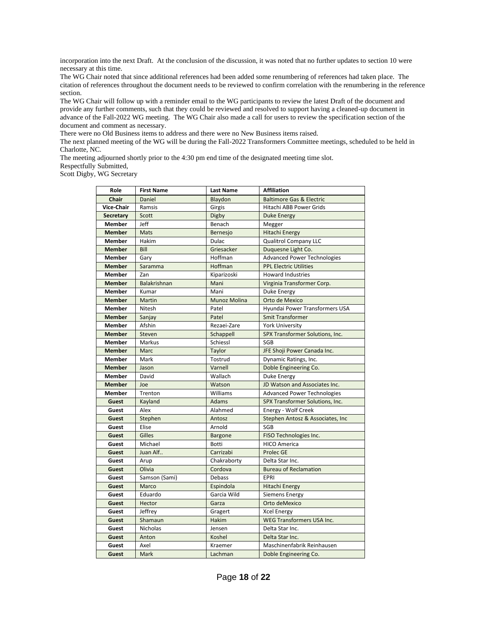incorporation into the next Draft. At the conclusion of the discussion, it was noted that no further updates to section 10 were necessary at this time.

The WG Chair noted that since additional references had been added some renumbering of references had taken place. The citation of references throughout the document needs to be reviewed to confirm correlation with the renumbering in the reference section.

The WG Chair will follow up with a reminder email to the WG participants to review the latest Draft of the document and provide any further comments, such that they could be reviewed and resolved to support having a cleaned-up document in advance of the Fall-2022 WG meeting. The WG Chair also made a call for users to review the specification section of the document and comment as necessary.

There were no Old Business items to address and there were no New Business items raised.

The next planned meeting of the WG will be during the Fall-2022 Transformers Committee meetings, scheduled to be held in Charlotte, NC.

The meeting adjourned shortly prior to the 4:30 pm end time of the designated meeting time slot.

Respectfully Submitted, Scott Digby, WG Secretary

| Role             | <b>First Name</b> | <b>Last Name</b> | <b>Affiliation</b>                  |
|------------------|-------------------|------------------|-------------------------------------|
| <b>Chair</b>     | Daniel            | Blaydon          | <b>Baltimore Gas &amp; Electric</b> |
| Vice-Chair       | Ramsis            | Girgis           | <b>Hitachi ABB Power Grids</b>      |
| <b>Secretary</b> | Scott             | Digby            | <b>Duke Energy</b>                  |
| <b>Member</b>    | Jeff              | Benach           | Megger                              |
| <b>Member</b>    | Mats              | Bernesjo         | <b>Hitachi Energy</b>               |
| <b>Member</b>    | Hakim             | Dulac            | <b>Qualitrol Company LLC</b>        |
| <b>Member</b>    | Bill              | Griesacker       | Duquesne Light Co.                  |
| <b>Member</b>    | Gary              | Hoffman          | <b>Advanced Power Technologies</b>  |
| <b>Member</b>    | Saramma           | Hoffman          | <b>PPL Electric Utilities</b>       |
| <b>Member</b>    | Zan               | Kiparizoski      | <b>Howard Industries</b>            |
| <b>Member</b>    | Balakrishnan      | Mani             | Virginia Transformer Corp.          |
| <b>Member</b>    | Kumar             | Mani             | Duke Energy                         |
| <b>Member</b>    | Martin            | Munoz Molina     | Orto de Mexico                      |
| <b>Member</b>    | Nitesh            | Patel            | Hyundai Power Transformers USA      |
| <b>Member</b>    | Sanjay            | Patel            | <b>Smit Transformer</b>             |
| <b>Member</b>    | Afshin            | Rezaei-Zare      | <b>York University</b>              |
| <b>Member</b>    | Steven            | Schappell        | SPX Transformer Solutions, Inc.     |
| <b>Member</b>    | Markus            | Schiessl         | SGB                                 |
| <b>Member</b>    | Marc              | Taylor           | JFE Shoji Power Canada Inc.         |
| <b>Member</b>    | Mark              | Tostrud          | Dynamic Ratings, Inc.               |
| <b>Member</b>    | Jason             | Varnell          | Doble Engineering Co.               |
| <b>Member</b>    | David             | Wallach          | Duke Energy                         |
| <b>Member</b>    | Joe               | Watson           | JD Watson and Associates Inc.       |
| Member           | Trenton           | Williams         | <b>Advanced Power Technologies</b>  |
| Guest            | Kayland           | <b>Adams</b>     | SPX Transformer Solutions, Inc.     |
| Guest            | Alex              | Alahmed          | Energy - Wolf Creek                 |
| Guest            | Stephen           | Antosz           | Stephen Antosz & Associates, Inc.   |
| Guest            | Elise             | Arnold           | SGB                                 |
| Guest            | Gilles            | <b>Bargone</b>   | FISO Technologies Inc.              |
| Guest            | Michael           | <b>Botti</b>     | <b>HICO America</b>                 |
| Guest            | Juan Alf          | Carrizabi        | <b>Prolec GE</b>                    |
| Guest            | Arup              | Chakraborty      | Delta Star Inc.                     |
| Guest            | Olivia            | Cordova          | <b>Bureau of Reclamation</b>        |
| Guest            | Samson (Sami)     | Debass           | <b>EPRI</b>                         |
| Guest            | Marco             | Espindola        | <b>Hitachi Energy</b>               |
| Guest            | Eduardo           | Garcia Wild      | <b>Siemens Energy</b>               |
| Guest            | Hector            | Garza            | Orto deMexico                       |
| Guest            | Jeffrey           | Gragert          | <b>Xcel Energy</b>                  |
| Guest            | Shamaun           | <b>Hakim</b>     | <b>WEG Transformers USA Inc.</b>    |
| Guest            | Nicholas          | Jensen           | Delta Star Inc.                     |
| Guest            | Anton             | Koshel           | Delta Star Inc.                     |
| Guest            | Axel              | Kraemer          | Maschinenfabrik Reinhausen          |
| Guest            | Mark              | Lachman          | Doble Engineering Co.               |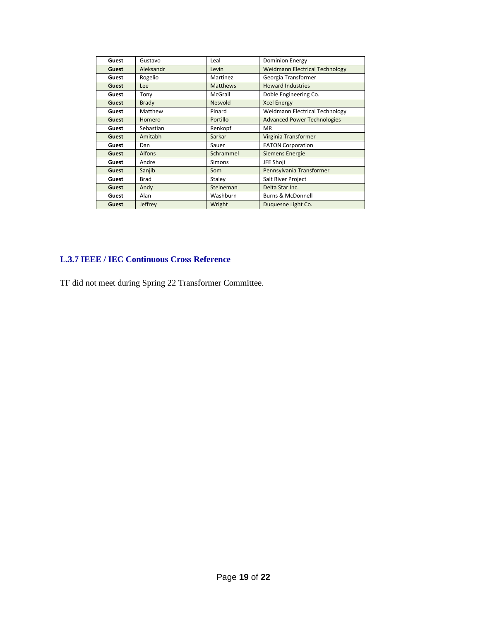| Guest | Gustavo       | Leal            | <b>Dominion Energy</b>                |
|-------|---------------|-----------------|---------------------------------------|
| Guest | Aleksandr     | Levin           | <b>Weidmann Electrical Technology</b> |
| Guest | Rogelio       | Martinez        | Georgia Transformer                   |
| Guest | <b>Lee</b>    | <b>Matthews</b> | <b>Howard Industries</b>              |
| Guest | Tony          | McGrail         | Doble Engineering Co.                 |
| Guest | <b>Brady</b>  | Nesvold         | <b>Xcel Energy</b>                    |
| Guest | Matthew       | Pinard          | Weidmann Electrical Technology        |
| Guest | Homero        | Portillo        | <b>Advanced Power Technologies</b>    |
| Guest | Sebastian     | Renkopf         | <b>MR</b>                             |
| Guest | Amitabh       | Sarkar          | Virginia Transformer                  |
| Guest | Dan           | Sauer           | <b>EATON Corporation</b>              |
| Guest | <b>Alfons</b> | Schrammel       | <b>Siemens Energie</b>                |
| Guest | Andre         | <b>Simons</b>   | JFE Shoii                             |
| Guest | Sanjib        | Som             | Pennsylvania Transformer              |
| Guest | <b>Brad</b>   | Staley          | Salt River Project                    |
| Guest | Andy          | Steineman       | Delta Star Inc.                       |
| Guest | Alan          | Washburn        | <b>Burns &amp; McDonnell</b>          |
| Guest | Jeffrey       | Wright          | Duquesne Light Co.                    |

# **L.3.7 IEEE / IEC Continuous Cross Reference**

TF did not meet during Spring 22 Transformer Committee.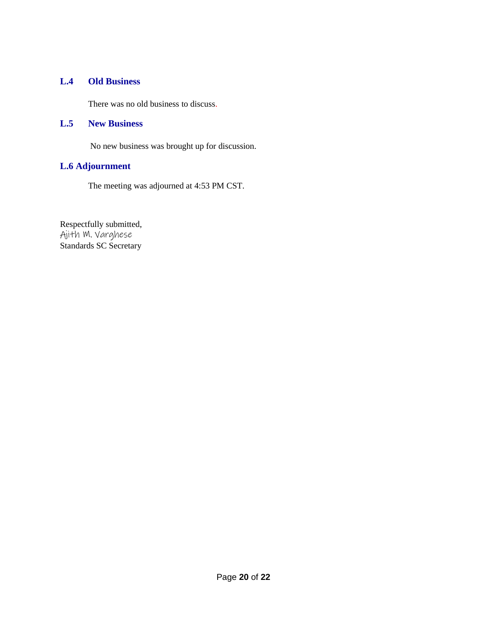#### **L.4 Old Business**

There was no old business to discuss.

#### **L.5 New Business**

No new business was brought up for discussion.

# **L.6 Adjournment**

The meeting was adjourned at 4:53 PM CST.

Respectfully submitted, Ajith M. Varghese Standards SC Secretary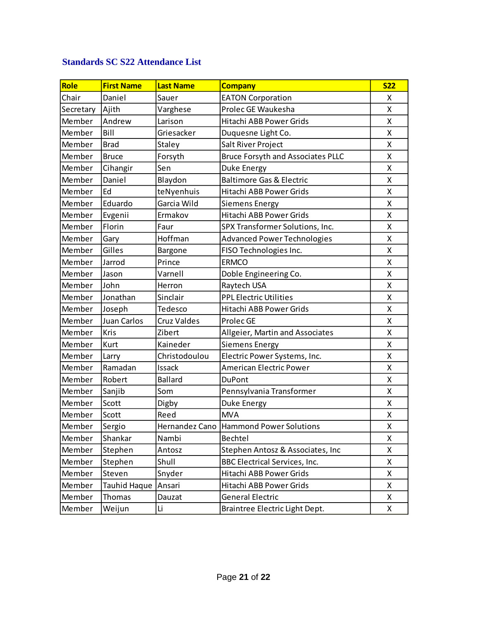# **Standards SC S22 Attendance List**

| Role      | <b>First Name</b>   | <b>Last Name</b>   | <b>Company</b>                           | <b>S22</b> |
|-----------|---------------------|--------------------|------------------------------------------|------------|
| Chair     | Daniel              | Sauer              | <b>EATON Corporation</b>                 | X.         |
| Secretary | Ajith               | Varghese           | Prolec GE Waukesha                       | X          |
| Member    | Andrew              | Larison            | Hitachi ABB Power Grids                  | X          |
| Member    | Bill                | Griesacker         | Duquesne Light Co.                       | X          |
| Member    | <b>Brad</b>         | Staley             | Salt River Project                       | X          |
| Member    | <b>Bruce</b>        | Forsyth            | <b>Bruce Forsyth and Associates PLLC</b> | X          |
| Member    | Cihangir            | Sen                | Duke Energy                              | X          |
| Member    | Daniel              | Blaydon            | <b>Baltimore Gas &amp; Electric</b>      | X          |
| Member    | Ed                  | teNyenhuis         | Hitachi ABB Power Grids                  | X          |
| Member    | Eduardo             | Garcia Wild        | <b>Siemens Energy</b>                    | X          |
| Member    | Evgenii             | Ermakov            | Hitachi ABB Power Grids                  | X          |
| Member    | Florin              | Faur               | SPX Transformer Solutions, Inc.          | X          |
| Member    | Gary                | Hoffman            | <b>Advanced Power Technologies</b>       | X          |
| Member    | Gilles              | <b>Bargone</b>     | FISO Technologies Inc.                   | X          |
| Member    | Jarrod              | Prince             | <b>ERMCO</b>                             | X          |
| Member    | Jason               | Varnell            | Doble Engineering Co.                    | X          |
| Member    | John                | Herron             | Raytech USA                              | X          |
| Member    | Jonathan            | Sinclair           | <b>PPL Electric Utilities</b>            | X          |
| Member    | Joseph              | Tedesco            | Hitachi ABB Power Grids                  | X          |
| Member    | Juan Carlos         | <b>Cruz Valdes</b> | Prolec GE                                | X          |
| Member    | <b>Kris</b>         | Zibert             | Allgeier, Martin and Associates          | X          |
| Member    | Kurt                | Kaineder           | <b>Siemens Energy</b>                    | X          |
| Member    | Larry               | Christodoulou      | Electric Power Systems, Inc.             | X          |
| Member    | Ramadan             | Issack             | <b>American Electric Power</b>           | X          |
| Member    | Robert              | <b>Ballard</b>     | <b>DuPont</b>                            | X          |
| Member    | Sanjib              | Som                | Pennsylvania Transformer                 | X          |
| Member    | Scott               | Digby              | Duke Energy                              | X          |
| Member    | Scott               | Reed               | <b>MVA</b>                               | X          |
| Member    | Sergio              |                    | Hernandez Cano Hammond Power Solutions   | Χ          |
| Member    | Shankar             | Nambi              | Bechtel                                  | X          |
| Member    | Stephen             | Antosz             | Stephen Antosz & Associates, Inc         | X          |
| Member    | Stephen             | Shull              | <b>BBC Electrical Services, Inc.</b>     | X          |
| Member    | Steven              | Snyder             | Hitachi ABB Power Grids                  | X          |
| Member    | <b>Tauhid Haque</b> | Ansari             | Hitachi ABB Power Grids                  | X          |
| Member    | Thomas              | Dauzat             | <b>General Electric</b>                  | X          |
| Member    | Weijun              | Li                 | Braintree Electric Light Dept.           | X          |